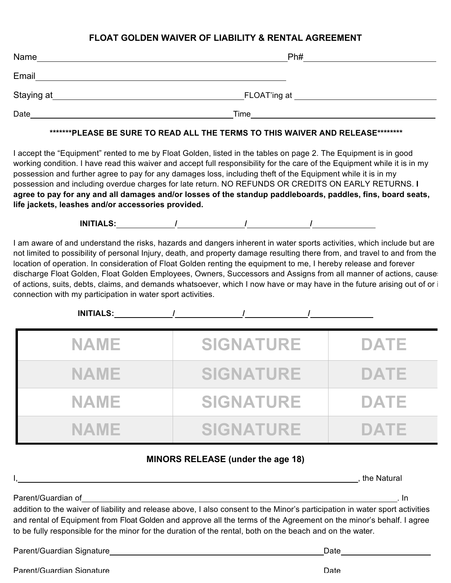## **FLOAT GOLDEN WAIVER OF LIABILITY & RENTAL AGREEMENT**

| Name       | Ph#          |  |
|------------|--------------|--|
| Email      |              |  |
| Staying at | FLOAT'ing at |  |
| Date       | Time         |  |

## **\*\*\*\*\*\*\*PLEASE BE SURE TO READ ALL THE TERMS TO THIS WAIVER AND RELEASE\*\*\*\*\*\*\*\***

I accept the "Equipment" rented to me by Float Golden, listed in the tables on page 2. The Equipment is in good working condition. I have read this waiver and accept full responsibility for the care of the Equipment while it is in my possession and further agree to pay for any damages loss, including theft of the Equipment while it is in my possession and including overdue charges for late return. NO REFUNDS OR CREDITS ON EARLY RETURNS. **I agree to pay for any and all damages and/or losses of the standup paddleboards, paddles, fins, board seats, life jackets, leashes and/or accessories provided.**

**INITIALS: / / /**

I am aware of and understand the risks, hazards and dangers inherent in water sports activities, which include but are not limited to possibility of personal Injury, death, and property damage resulting there from, and travel to and from the location of operation. In consideration of Float Golden renting the equipment to me, I hereby release and forever discharge Float Golden, Float Golden Employees, Owners, Successors and Assigns from all manner of actions, cause of actions, suits, debts, claims, and demands whatsoever, which I now have or may have in the future arising out of or i connection with my participation in water sport activities.

| <b>INITIALS:</b> |                  |             |
|------------------|------------------|-------------|
| <b>NAME</b>      | <b>SIGNATURE</b> | <b>DATE</b> |
| <b>NAME</b>      | <b>SIGNATURE</b> | <b>DATE</b> |
| <b>NAME</b>      | <b>SIGNATURE</b> | <b>DATE</b> |
| NAME             | <b>SIGNATURE</b> | DATE        |

## **MINORS RELEASE (under the age 18)**

|                                                                                                                                                                                                                                                                           | the Natural |
|---------------------------------------------------------------------------------------------------------------------------------------------------------------------------------------------------------------------------------------------------------------------------|-------------|
| Parent/Guardian of<br>addition to the waiver of liability and release above, I also consent to the Minor's participation in water sport activities<br>and rental of Equipment from Float Golden and approve all the terms of the Agreement on the minor's behalf. I agree | . In        |
| to be fully responsible for the minor for the duration of the rental, both on the beach and on the water.                                                                                                                                                                 |             |
| Parent/Guardian Signature expansion of the contract of the contract of the contract of the contract of the contract of the contract of the contract of the contract of the contract of the contract of the contract of the con<br>Date                                    |             |

Parent/Guardian Signature Date Date of the Date of the Date Date of the Date of the Date of the Date of the Date